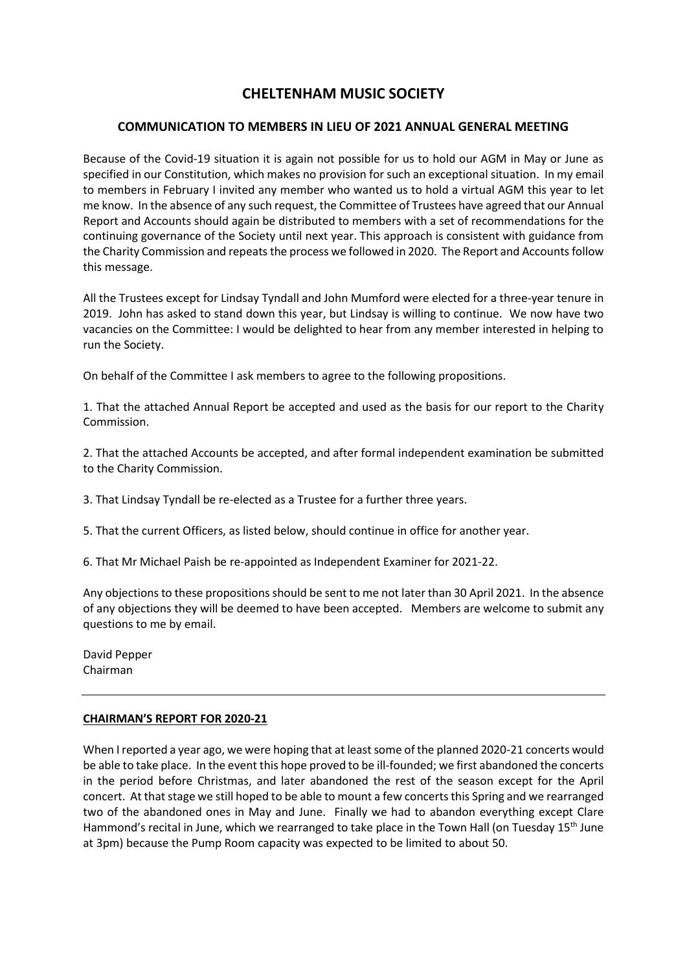# **CHELTENHAM MUSIC SOCIETY**

## **COMMUNICATION TO MEMBERS IN LIEU OF 2021 ANNUAL GENERAL MEETING**

Because of the Covid-19 situation it is again not possible for us to hold our AGM in May or June as specified in our Constitution, which makes no provision for such an exceptional situation. In my email to members in February I invited any member who wanted us to hold a virtual AGM this year to let me know. In the absence of any such request, the Committee of Trustees have agreed that our Annual Report and Accounts should again be distributed to members with a set of recommendations for the continuing governance of the Society until next year. This approach is consistent with guidance from the Charity Commission and repeats the process we followed in 2020. The Report and Accounts follow this message.

All the Trustees except for Lindsay Tyndall and John Mumford were elected for a three-year tenure in 2019. John has asked to stand down this year, but Lindsay is willing to continue. We now have two vacancies on the Committee: I would be delighted to hear from any member interested in helping to run the Society.

On behalf of the Committee I ask members to agree to the following propositions.

1. That the attached Annual Report be accepted and used as the basis for our report to the Charity Commission.

2. That the attached Accounts be accepted, and after formal independent examination be submitted to the Charity Commission.

3. That Lindsay Tyndall be re-elected as a Trustee for a further three years.

5. That the current Officers, as listed below, should continue in office for another year.

6. That Mr Michael Paish be re-appointed as Independent Examiner for 2021-22.

Any objections to these propositions should be sent to me not later than 30 April 2021. In the absence of any objections they will be deemed to have been accepted. Members are welcome to submit any questions to me by email.

David Pepper Chairman

#### **CHAIRMAN'S REPORT FOR 2020-21**

When I reported a year ago, we were hoping that at least some of the planned 2020-21 concerts would be able to take place. In the event this hope proved to be ill-founded; we first abandoned the concerts in the period before Christmas, and later abandoned the rest of the season except for the April concert. At that stage we still hoped to be able to mount a few concerts this Spring and we rearranged two of the abandoned ones in May and June. Finally we had to abandon everything except Clare Hammond's recital in June, which we rearranged to take place in the Town Hall (on Tuesday 15<sup>th</sup> June at 3pm) because the Pump Room capacity was expected to be limited to about 50.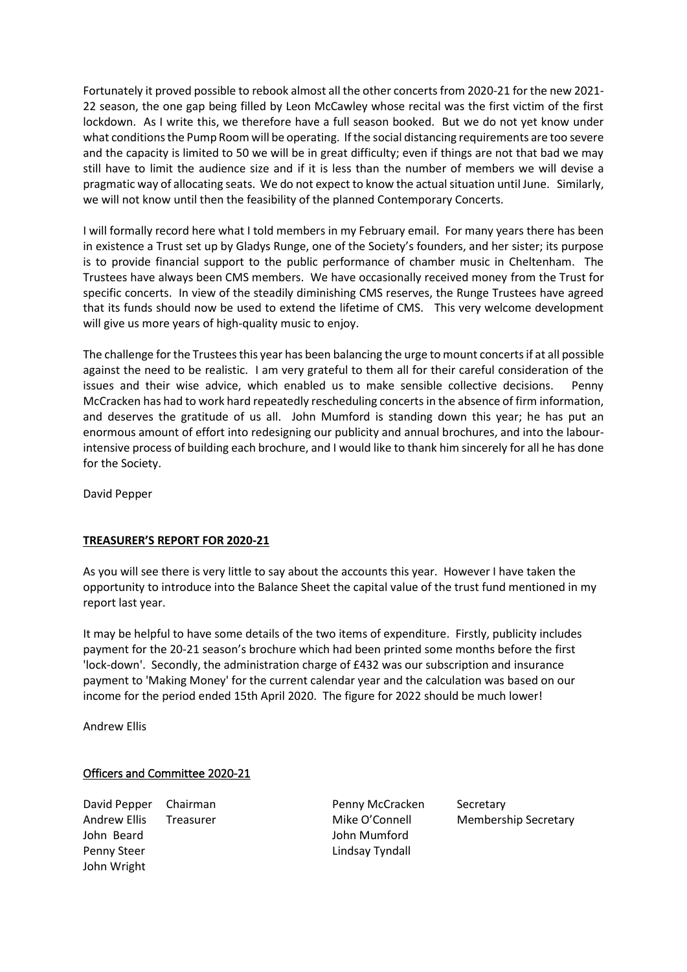Fortunately it proved possible to rebook almost all the other concerts from 2020-21 for the new 2021- 22 season, the one gap being filled by Leon McCawley whose recital was the first victim of the first lockdown. As I write this, we therefore have a full season booked. But we do not yet know under what conditions the Pump Room will be operating. If the social distancing requirements are too severe and the capacity is limited to 50 we will be in great difficulty; even if things are not that bad we may still have to limit the audience size and if it is less than the number of members we will devise a pragmatic way of allocating seats. We do not expect to know the actualsituation until June. Similarly, we will not know until then the feasibility of the planned Contemporary Concerts.

I will formally record here what I told members in my February email. For many years there has been in existence a Trust set up by Gladys Runge, one of the Society's founders, and her sister; its purpose is to provide financial support to the public performance of chamber music in Cheltenham. The Trustees have always been CMS members. We have occasionally received money from the Trust for specific concerts. In view of the steadily diminishing CMS reserves, the Runge Trustees have agreed that its funds should now be used to extend the lifetime of CMS. This very welcome development will give us more years of high-quality music to enjoy.

The challenge for the Trustees this year has been balancing the urge to mount concerts if at all possible against the need to be realistic. I am very grateful to them all for their careful consideration of the issues and their wise advice, which enabled us to make sensible collective decisions. Penny McCracken has had to work hard repeatedly rescheduling concerts in the absence of firm information, and deserves the gratitude of us all. John Mumford is standing down this year; he has put an enormous amount of effort into redesigning our publicity and annual brochures, and into the labourintensive process of building each brochure, and I would like to thank him sincerely for all he has done for the Society.

David Pepper

#### **TREASURER'S REPORT FOR 2020-21**

As you will see there is very little to say about the accounts this year. However I have taken the opportunity to introduce into the Balance Sheet the capital value of the trust fund mentioned in my report last year.

It may be helpful to have some details of the two items of expenditure. Firstly, publicity includes payment for the 20-21 season's brochure which had been printed some months before the first 'lock-down'. Secondly, the administration charge of £432 was our subscription and insurance payment to 'Making Money' for the current calendar year and the calculation was based on our income for the period ended 15th April 2020. The figure for 2022 should be much lower!

Andrew Ellis

## Officers and Committee 2020-21

David Pepper Chairman **Penny McCracken** Secretary Andrew Ellis Treasurer Mike O'Connell Membership Secretary John Beard John Mumford Penny Steer **Lindsay Tyndall** John Wright